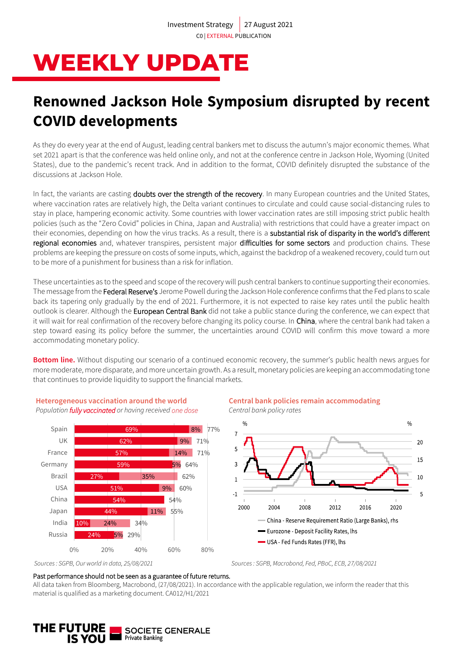# **WEEKLY UPDATE**

## **Renowned Jackson Hole Symposium disrupted by recent COVID developments**

As they do every year at the end of August, leading central bankers met to discuss the autumn's major economic themes. What set 2021 apart is that the conference was held online only, and not at the conference centre in Jackson Hole, Wyoming (United States), due to the pandemic's recent track. And in addition to the format, COVID definitely disrupted the substance of the discussions at Jackson Hole.

In fact, the variants are casting doubts over the strength of the recovery. In many European countries and the United States, where vaccination rates are relatively high, the Delta variant continues to circulate and could cause social-distancing rules to stay in place, hampering economic activity. Some countries with lower vaccination rates are still imposing strict public health policies (such as the "Zero Covid" policies in China, Japan and Australia) with restrictions that could have a greater impact on their economies, depending on how the virus tracks. As a result, there is a substantial risk of disparity in the world's different regional economies and, whatever transpires, persistent major difficulties for some sectors and production chains. These problems are keeping the pressure on costs of some inputs, which, against the backdrop of a weakened recovery, could turn out to be more of a punishment for business than a risk for inflation.

These uncertainties as to the speed and scope of the recovery will push central bankers to continue supporting their economies. The message from the Federal Reserve's Jerome Powell during the Jackson Hole conference confirms that the Fed plans to scale back its tapering only gradually by the end of 2021. Furthermore, it is not expected to raise key rates until the public health outlook is clearer. Although the European Central Bank did not take a public stance during the conference, we can expect that it will wait for real confirmation of the recovery before changing its policy course. In China, where the central bank had taken a step toward easing its policy before the summer, the uncertainties around COVID will confirm this move toward a more accommodating monetary policy.

**Bottom line.** Without disputing our scenario of a continued economic recovery, the summer's public health news argues for more moderate, more disparate, and more uncertain growth. As a result, monetary policies are keeping an accommodating tone that continues to provide liquidity to support the financial markets.



#### **Heterogeneous vaccination around the world** *Population fully vaccinated or having received one dose*

#### **Central bank policies remain accommodating**

*Central bank policy rates*





#### Past performance should not be seen as a guarantee of future returns.

All data taken from Bloomberg, Macrobond, (27/08/2021). In accordance with the applicable regulation, we inform the reader that this material is qualified as a marketing document. CA012/H1/2021

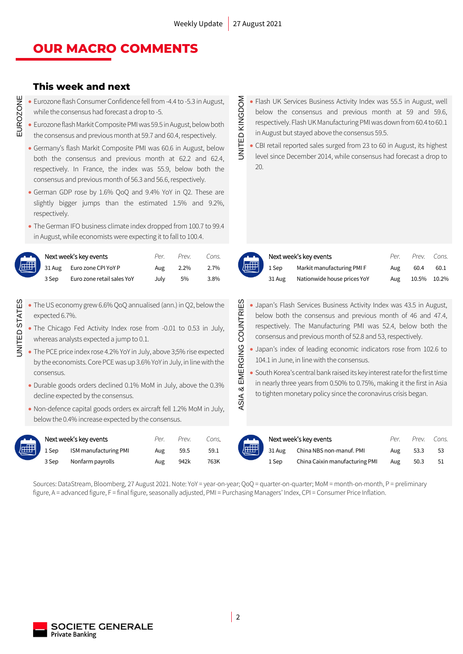JNITED KINGDOM

### **OUR MACRO COMMENTS**

### **This week and next**

EUROZONE

- Eurozone flash Consumer Confidence fell from -4.4 to -5.3 in August, while the consensus had forecast a drop to -5.
- Eurozone flash Markit Composite PMI was 59.5 in August, below both the consensus and previous month at 59.7 and 60.4, respectively.
- Germany's flash Markit Composite PMI was 60.6 in August, below both the consensus and previous month at 62.2 and 62.4, respectively. In France, the index was 55.9, below both the consensus and previous month of 56.3 and 56.6, respectively.
- German GDP rose by 1.6% QoQ and 9.4% YoY in Q2. These are slightly bigger jumps than the estimated 1.5% and 9.2%, respectively.
- The German IFO business climate index dropped from 100.7 to 99.4 in August, while economists were expecting it to fall to 100.4.

| Next week's key events |                                          | Per  | Next week's key events<br>Prev.<br>Cons. |      |               | $P_{\rho}$ r | PrAV                        | Cons. |       |       |
|------------------------|------------------------------------------|------|------------------------------------------|------|---------------|--------------|-----------------------------|-------|-------|-------|
|                        | $\frac{1}{2}$ 31 Aug Euro zone CPI YoY P | Aug  | 2.2%                                     | 2.7% | <b>ASSESS</b> | 1 Sep        | Markit manufacturing PMI F  | Aug   | 60.4  | 60.1  |
| 3 Sep                  | Euro zone retail sales YoY               | Julv | 5%                                       | 3.8% |               | 31 Aug       | Nationwide house prices YoY | Aug   | 10.5% | 10.2% |

- UNITED STATES • The US economy grew 6.6% QoQ annualised (ann.) in Q2, below the expected 6.7%.
	- The Chicago Fed Activity Index rose from -0.01 to 0.53 in July, whereas analysts expected a jump to 0.1.
	- The PCE price index rose 4.2% YoY in July, above 3;5% rise expected by the economists. Core PCE was up 3.6% YoY in July, in line with the consensus.
	- Durable goods orders declined 0.1% MoM in July, above the 0.3% decline expected by the consensus.
	- Non-defence capital goods orders ex aircraft fell 1.2% MoM in July, below the 0.4% increase expected by the consensus.

**UNITED STATES** 

| Next week's key events |                       | Per | Prev. | Cons. |                     | Next week's key events |                                 | Per | Prev. | Cor |
|------------------------|-----------------------|-----|-------|-------|---------------------|------------------------|---------------------------------|-----|-------|-----|
| 1 Sep                  | ISM manufacturing PMI | Aug | 59.5  | 59.1  | $\sqrt{\text{eff}}$ |                        | 31 Aug China NBS non-manuf. PMI | Aug | 53.3  | 53  |
| 3 Sep                  | Nonfarm payrolls      | Aug | 942k  | 763K  |                     | 1 Sep                  | China Caixin manufacturing PMI  | Aug | 50.3  | 51  |

- UNITED KINGDOM • Flash UK Services Business Activity Index was 55.5 in August, well below the consensus and previous month at 59 and 59.6, respectively. Flash UK Manufacturing PMI was down from 60.4 to 60.1 in August but stayed above the consensus 59.5.
	- CBI retail reported sales surged from 23 to 60 in August, its highest level since December 2014, while consensus had forecast a drop to 20.

| Next  |
|-------|
| 1 Sep |
| 31 Au |

|     | xt week's key events        |     | Per. Prev. Cons. |      |
|-----|-----------------------------|-----|------------------|------|
| эp  | Markit manufacturing PMI F  | Aug | 60.4             | 60.1 |
| Aug | Nationwide house prices YoY |     | Aug 10.5% 10.2%  |      |

- & EMERGING COUNTRIES ASIA & EMERGING COUNTRIES • Japan's Flash Services Business Activity Index was 43.5 in August, below both the consensus and previous month of 46 and 47.4, respectively. The Manufacturing PMI was 52.4, below both the consensus and previous month of 52.8 and 53, respectively.
	- Japan's index of leading economic indicators rose from 102.6 to 104.1 in June, in line with the consensus.
	- South Korea's central bank raised its key interest rate for the first time in nearly three years from 0.50% to 0.75%, making it the first in Asia to tighten monetary policy since the coronavirus crisis began.



ASIA

| Next week's key events |                       | Per. | Prev. | Cons. | Next week's key events |                                 | Par | Prev. | Cons. |
|------------------------|-----------------------|------|-------|-------|------------------------|---------------------------------|-----|-------|-------|
| 1 Sep                  | ISM manufacturing PMI | Aug  | 59.5  | 59.1  |                        | 31 Aug China NBS non-manuf. PMI | Aug | 53.3  |       |
| 3 Sep                  | Nonfarm payrolls      | Aug  | 942k  | 763K  | 1 Sep                  | China Caixin manufacturing PMI  | Aug | 50.3  |       |

Sources: DataStream, Bloomberg, 27 August 2021. Note: YoY = year-on-year; QoQ = quarter-on-quarter; MoM = month-on-month, P = preliminary figure, A = advanced figure, F = final figure, seasonally adjusted, PMI = Purchasing Managers' Index, CPI = Consumer Price Inflation.

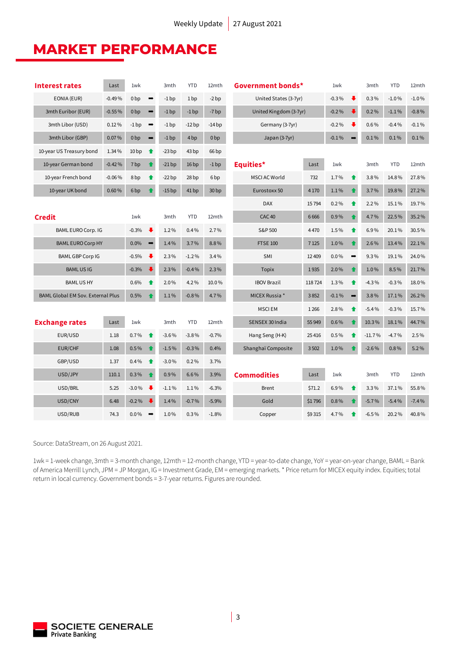### **MARKET PERFORMANCE**

| <b>Interest rates</b>                    | Last     | 1wk              |                                 | 3mth    | <b>YTD</b>       | 12mth            |                        | Government bonds*     |                    |                      | 3mth     | <b>YTD</b> | 12mth    |
|------------------------------------------|----------|------------------|---------------------------------|---------|------------------|------------------|------------------------|-----------------------|--------------------|----------------------|----------|------------|----------|
| EONIA (EUR)                              | $-0.49%$ | 0 <sub>bp</sub>  | $\rightarrow$                   | $-1$ bp | 1 <sub>bp</sub>  | $-2bp$           |                        | United States (3-7yr) |                    | ⋅                    | $0.3\%$  | $-1.0%$    | $-1.0%$  |
| 3mth Euribor (EUR)<br>$-0.55%$           |          | 0 <sub>bp</sub>  | $\rightarrow$                   | $-1$ bp | $-1bp$           | $-7bp$           | United Kingdom (3-7yr) |                       |                    |                      | 0.2%     | $-1.1\%$   | $-0.8%$  |
| 3mth Libor (USD)                         | 0.12%    | $-1bp$           | $\qquad \qquad \Longrightarrow$ | $-1$ bp | $-12bp$          | $-14bp$          | Germany (3-7yr)        |                       | $-0.2%$<br>$-0.2%$ | ₩                    | 0.6%     | $-0.4%$    | $-0.1\%$ |
|                                          |          |                  |                                 |         |                  |                  |                        |                       |                    |                      |          |            |          |
| 3mth Libor (GBP)                         | 0.07%    | 0 <sub>bp</sub>  | $\rightarrow$                   | $-1$ bp | 4 <sub>bp</sub>  | 0 <sub>bp</sub>  | Japan (3-7yr)          |                       | $-0.1%$            |                      | 0.1%     | 0.1%       | 0.1%     |
| 10-year US Treasury bond                 | 1.34%    | 10 <sub>bp</sub> | ♠                               | $-23bp$ | 43 bp            | 66 bp            |                        |                       |                    |                      |          |            |          |
| 10-year German bond                      | $-0.42%$ | 7 bp             | $\bullet$                       | $-21bp$ | 16bp             | $-1bp$           | Equities*              | Last                  | 1wk                |                      | 3mth     | <b>YTD</b> | 12mth    |
| 10-year French bond                      | $-0.06%$ | 8 <sub>bp</sub>  | ♠                               | $-22bp$ | 28 <sub>bp</sub> | 6 <sub>bp</sub>  | <b>MSCI AC World</b>   | 732                   | 1.7%               | $\bullet$            | 3.8%     | 14.8%      | 27.8%    |
| 10-year UK bond                          | 0.60%    | 6 <sub>bp</sub>  | ♠                               | $-15bp$ | 41bp             | 30 <sub>bp</sub> | Eurostoxx 50           | 4 1 7 0               | 1.1%               | $\bullet$            | 3.7%     | 19.8%      | 27.2%    |
|                                          |          |                  |                                 |         |                  |                  | <b>DAX</b>             | 15794                 | 0.2%               | $\bullet$            | 2.2%     | 15.1%      | 19.7%    |
| <b>Credit</b>                            |          | 1wk              |                                 | 3mth    | <b>YTD</b>       | 12mth            | <b>CAC 40</b>          | 6666                  | 0.9%               | $\ddot{\phantom{a}}$ | 4.7%     | 22.5%      | 35.2%    |
| <b>BAML EURO Corp. IG</b>                |          | $-0.3%$          | ₩                               | 1.2%    | 0.4%             | 2.7%             | S&P 500                | 4470                  | 1.5%               | ↟                    | 6.9%     | 20.1%      | 30.5%    |
| <b>BAML EURO Corp HY</b>                 |          | 0.0%             | $\qquad \qquad \rightarrow$     | 1.4%    | 3.7%             | 8.8%             | <b>FTSE 100</b>        | 7 1 2 5               | 1.0%               | $\bullet$            | 2.6%     | 13.4%      | 22.1%    |
| <b>BAML GBP Corp IG</b>                  |          | $-0.5%$          | ₩                               | 2.3%    | $-1.2%$          | 3.4%             | SMI                    | 12 409                | $0.0\%$            | $\rightarrow$        | 9.3%     | 19.1%      | 24.0%    |
| <b>BAMLUSIG</b>                          |          | $-0.3%$          | $\bullet$                       | 2.3%    | $-0.4%$          | 2.3%             | <b>Topix</b>           | 1935                  | $2.0\%$            |                      | 1.0%     | 8.5%       | 21.7%    |
| <b>BAMLUSHY</b>                          |          | 0.6%             | ♠                               | 2.0%    | 4.2%             | 10.0%            | <b>IBOV Brazil</b>     | 118724                |                    |                      | $-4.3%$  | $-0.3%$    | 18.0%    |
| <b>BAML Global EM Sov. External Plus</b> |          | 0.5%             |                                 | 1.1%    | $-0.8%$          | 4.7%             | MICEX Russia *<br>3852 |                       | $-0.1\%$           |                      | 3.8%     | 17.1%      | 26.2%    |
|                                          |          |                  |                                 |         |                  |                  | <b>MSCIEM</b>          | 1 2 6 6               | 2.8%               | ♠                    | $-5.4%$  | $-0.3%$    | 15.7%    |
| <b>Exchange rates</b>                    | Last     | 1wk              |                                 | 3mth    | <b>YTD</b>       | 12mth            | SENSEX 30 India        | 55 949                | $0.6\%$            |                      | 10.3%    | 18.1%      | 44.7%    |
| EUR/USD                                  | 1.18     | 0.7%             | ↟                               | $-3.6%$ | $-3.8%$          | $-0.7%$          | Hang Seng (H-K)        | 25416                 | 0.5%               | ♠                    | $-11.7%$ | $-4.7%$    | 2.5%     |
| <b>EUR/CHF</b>                           | 1.08     | 0.5%             |                                 | $-1.5%$ | $-0.3%$          | 0.4%             | Shanghaï Composite     | 3502                  | 1.0%               |                      | $-2.6%$  | 0.8%       | 5.2%     |
| GBP/USD                                  | 1.37     | 0.4%             | ↟                               | $-3.0%$ | 0.2%             | 3.7%             |                        |                       |                    |                      |          |            |          |
| USD/JPY                                  | 110.1    | 0.3%             | ♠                               | 0.9%    | 6.6%             | 3.9%             | <b>Commodities</b>     | Last                  | 1wk                |                      | 3mth     | <b>YTD</b> | 12mth    |
| USD/BRL                                  | 5.25     | $-3.0%$          | ₩                               | $-1.1%$ | 1.1%             | $-6.3%$          | <b>Brent</b>           | \$71.2                | 6.9%               | $\bullet$            | 3.3%     | 37.1%      | 55.8%    |
| USD/CNY                                  | 6.48     | $-0.2%$          |                                 | 1.4%    | $-0.7%$          | $-5.9%$          | Gold                   | \$1796                | 0.8%               |                      | $-5.7%$  | $-5.4%$    | $-7.4%$  |
| USD/RUB                                  | 74.3     | $0.0\%$          |                                 | 1.0%    | 0.3%             | $-1.8%$          | Copper                 | \$9315                | 4.7%               |                      | $-6.5%$  | 20.2%      | 40.8%    |

Source: DataStream, on 26 August 2021.

1wk = 1-week change, 3mth = 3-month change, 12mth = 12-month change, YTD = year-to-date change, YoY = year-on-year change, BAML = Bank of America Merrill Lynch, JPM = JP Morgan, IG = Investment Grade, EM = emerging markets. \* Price return for MICEX equity index. Equities; total return in local currency. Government bonds = 3-7-year returns. Figures are rounded.

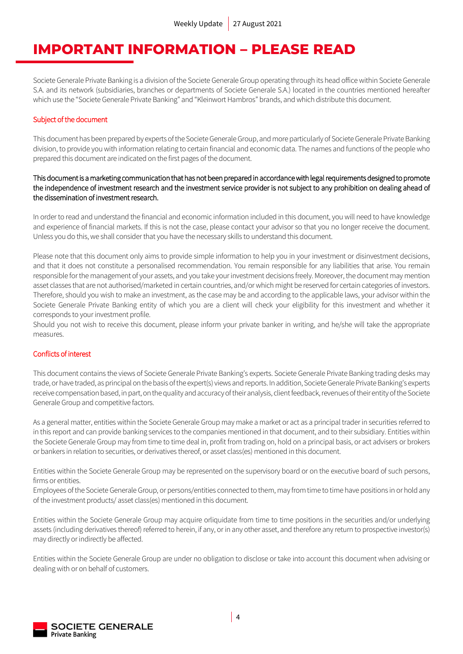### **IMPORTANT INFORMATION – PLEASE READ**

Societe Generale Private Banking is a division of the Societe Generale Group operating through its head office within Societe Generale S.A. and its network (subsidiaries, branches or departments of Societe Generale S.A.) located in the countries mentioned hereafter which use the "Societe Generale Private Banking" and "Kleinwort Hambros" brands, and which distribute this document.

### Subject of the document

This document has been prepared by experts of the Societe Generale Group, and more particularly of Societe Generale Private Banking division, to provide you with information relating to certain financial and economic data. The names and functions of the people who prepared this document are indicated on the first pages of the document.

### This document is a marketing communication that has not been prepared in accordance with legal requirements designed to promote the independence of investment research and the investment service provider is not subject to any prohibition on dealing ahead of the dissemination of investment research.

In order to read and understand the financial and economic information included in this document, you will need to have knowledge and experience of financial markets. If this is not the case, please contact your advisor so that you no longer receive the document. Unless you do this, we shall consider that you have the necessary skills to understand this document.

Please note that this document only aims to provide simple information to help you in your investment or disinvestment decisions, and that it does not constitute a personalised recommendation. You remain responsible for any liabilities that arise. You remain responsible for the management of your assets, and you take your investment decisions freely. Moreover, the document may mention asset classes that are not authorised/marketed in certain countries, and/or which might be reserved for certain categories of investors. Therefore, should you wish to make an investment, as the case may be and according to the applicable laws, your advisor within the Societe Generale Private Banking entity of which you are a client will check your eligibility for this investment and whether it corresponds to your investment profile.

Should you not wish to receive this document, please inform your private banker in writing, and he/she will take the appropriate measures.

### Conflicts of interest

This document contains the views of Societe Generale Private Banking's experts. Societe Generale Private Banking trading desks may trade, or have traded, as principal on the basis of the expert(s) views and reports. In addition, Societe Generale Private Banking's experts receive compensation based, in part, on the quality and accuracy of their analysis, client feedback, revenues of their entity of the Societe Generale Group and competitive factors.

As a general matter, entities within the Societe Generale Group may make a market or act as a principal trader in securities referred to in this report and can provide banking services to the companies mentioned in that document, and to their subsidiary. Entities within the Societe Generale Group may from time to time deal in, profit from trading on, hold on a principal basis, or act advisers or brokers or bankers in relation to securities, or derivatives thereof, or asset class(es) mentioned in this document.

Entities within the Societe Generale Group may be represented on the supervisory board or on the executive board of such persons, firms or entities.

Employees of the Societe Generale Group, or persons/entities connected to them, may from time to time have positions in or hold any of the investment products/ asset class(es) mentioned in this document.

Entities within the Societe Generale Group may acquire orliquidate from time to time positions in the securities and/or underlying assets (including derivatives thereof) referred to herein, if any, or in any other asset, and therefore any return to prospective investor(s) may directly or indirectly be affected.

Entities within the Societe Generale Group are under no obligation to disclose or take into account this document when advising or dealing with or on behalf of customers.

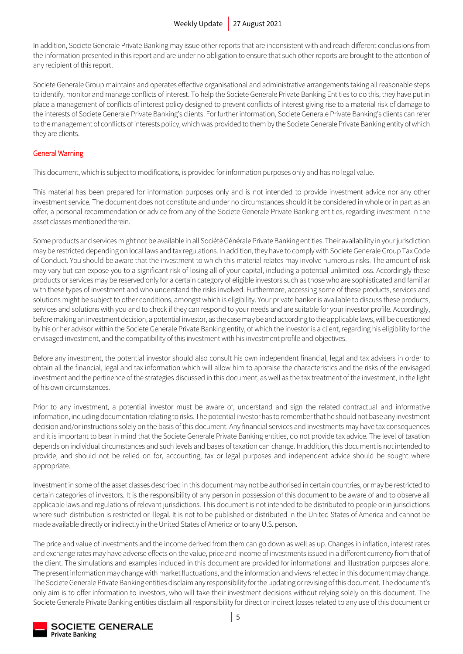In addition, Societe Generale Private Banking may issue other reports that are inconsistent with and reach different conclusions from the information presented in this report and are under no obligation to ensure that such other reports are brought to the attention of any recipient of this report.

Societe Generale Group maintains and operates effective organisational and administrative arrangements taking all reasonable steps to identify, monitor and manage conflicts of interest. To help the Societe Generale Private Banking Entities to do this, they have put in place a management of conflicts of interest policy designed to prevent conflicts of interest giving rise to a material risk of damage to the interests of Societe Generale Private Banking's clients. For further information, Societe Generale Private Banking's clients can refer to the management of conflicts of interests policy, which was provided to them by the Societe Generale Private Banking entity of which they are clients.

### General Warning

This document, which is subject to modifications, is provided for information purposes only and has no legal value.

This material has been prepared for information purposes only and is not intended to provide investment advice nor any other investment service. The document does not constitute and under no circumstances should it be considered in whole or in part as an offer, a personal recommendation or advice from any of the Societe Generale Private Banking entities, regarding investment in the asset classes mentioned therein.

Some products and services might not be available in all Société Générale Private Banking entities. Their availability in your jurisdiction may be restricted depending on local laws and tax regulations. In addition, they have to comply with Societe Generale Group Tax Code of Conduct. You should be aware that the investment to which this material relates may involve numerous risks. The amount of risk may vary but can expose you to a significant risk of losing all of your capital, including a potential unlimited loss. Accordingly these products or services may be reserved only for a certain category of eligible investors such as those who are sophisticated and familiar with these types of investment and who understand the risks involved. Furthermore, accessing some of these products, services and solutions might be subject to other conditions, amongst which is eligibility. Your private banker is available to discuss these products, services and solutions with you and to check if they can respond to your needs and are suitable for your investor profile. Accordingly, before making an investment decision, a potential investor, as the case may be and according to the applicable laws, will be questioned by his or her advisor within the Societe Generale Private Banking entity, of which the investor is a client, regarding his eligibility for the envisaged investment, and the compatibility of this investment with his investment profile and objectives.

Before any investment, the potential investor should also consult his own independent financial, legal and tax advisers in order to obtain all the financial, legal and tax information which will allow him to appraise the characteristics and the risks of the envisaged investment and the pertinence of the strategies discussed in this document, as well as the tax treatment of the investment, in the light of his own circumstances.

Prior to any investment, a potential investor must be aware of, understand and sign the related contractual and informative information, including documentation relating to risks. The potential investor has to remember that he should not base any investment decision and/or instructions solely on the basis of this document. Any financial services and investments may have tax consequences and it is important to bear in mind that the Societe Generale Private Banking entities, do not provide tax advice. The level of taxation depends on individual circumstances and such levels and bases of taxation can change. In addition, this document is not intended to provide, and should not be relied on for, accounting, tax or legal purposes and independent advice should be sought where appropriate.

Investment in some of the asset classes described in this document may not be authorised in certain countries, or may be restricted to certain categories of investors. It is the responsibility of any person in possession of this document to be aware of and to observe all applicable laws and regulations of relevant jurisdictions. This document is not intended to be distributed to people or in jurisdictions where such distribution is restricted or illegal. It is not to be published or distributed in the United States of America and cannot be made available directly or indirectly in the United States of America or to any U.S. person.

The price and value of investments and the income derived from them can go down as well as up. Changes in inflation, interest rates and exchange rates may have adverse effects on the value, price and income of investments issued in a different currency from that of the client. The simulations and examples included in this document are provided for informational and illustration purposes alone. The present information may change with market fluctuations, and the information and views reflected in this document may change. The Societe Generale Private Banking entities disclaim any responsibility for the updating or revising of this document. The document's only aim is to offer information to investors, who will take their investment decisions without relying solely on this document. The Societe Generale Private Banking entities disclaim all responsibility for direct or indirect losses related to any use of this document or

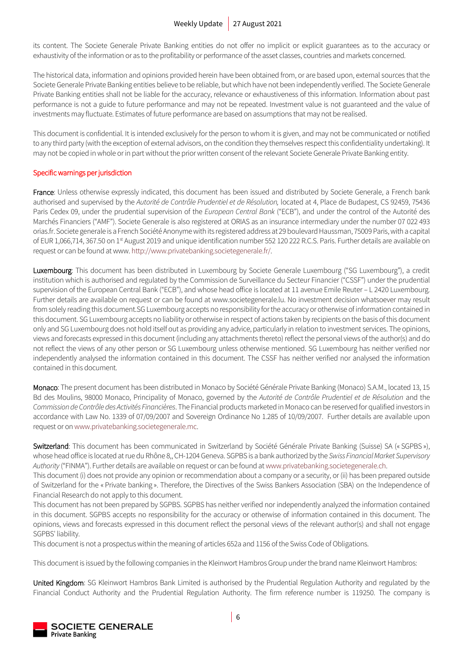its content. The Societe Generale Private Banking entities do not offer no implicit or explicit guarantees as to the accuracy or exhaustivity of the information or as to the profitability or performance of the asset classes, countries and markets concerned.

The historical data, information and opinions provided herein have been obtained from, or are based upon, external sources that the Societe Generale Private Banking entities believe to be reliable, but which have not been independently verified. The Societe Generale Private Banking entities shall not be liable for the accuracy, relevance or exhaustiveness of this information. Information about past performance is not a guide to future performance and may not be repeated. Investment value is not guaranteed and the value of investments may fluctuate. Estimates of future performance are based on assumptions that may not be realised.

This document is confidential. It is intended exclusively for the person to whom it is given, and may not be communicated or notified to any third party (with the exception of external advisors, on the condition they themselves respect this confidentiality undertaking). It may not be copied in whole or in part without the prior written consent of the relevant Societe Generale Private Banking entity.

### Specific warnings per jurisdiction

France: Unless otherwise expressly indicated, this document has been issued and distributed by Societe Generale, a French bank authorised and supervised by the *Autorité de Contrôle Prudentiel et de Résolution,* located at 4, Place de Budapest, CS 92459, 75436 Paris Cedex 09, under the prudential supervision of the *European Central Bank* ("ECB"), and under the control of the Autorité des Marchés Financiers ("AMF"). Societe Generale is also registered at ORIAS as an insurance intermediary under the number 07 022 493 orias.fr. Societe generale is a French Société Anonyme with its registered address at 29 boulevard Haussman, 75009 Paris, with a capital of EUR 1,066,714, 367.50 on 1<sup>st</sup> August 2019 and unique identification number 552 120 222 R.C.S. Paris. Further details are available on request or can be found at www. http://www.privatebanking.societegenerale.fr/.

Luxembourg: This document has been distributed in Luxembourg by Societe Generale Luxembourg ("SG Luxembourg"), a credit institution which is authorised and regulated by the Commission de Surveillance du Secteur Financier ("CSSF") under the prudential supervision of the European Central Bank ("ECB"), and whose head office is located at 11 avenue Emile Reuter – L 2420 Luxembourg. Further details are available on request or can be found at www.societegenerale.lu. No investment decision whatsoever may result from solely reading this document.SG Luxembourg accepts no responsibility for the accuracy or otherwise of information contained in this document. SG Luxembourg accepts no liability or otherwise in respect of actions taken by recipients on the basis of this document only and SG Luxembourg does not hold itself out as providing any advice, particularly in relation to investment services. The opinions, views and forecasts expressed in this document (including any attachments thereto) reflect the personal views of the author(s) and do not reflect the views of any other person or SG Luxembourg unless otherwise mentioned. SG Luxembourg has neither verified nor independently analysed the information contained in this document. The CSSF has neither verified nor analysed the information contained in this document.

Monaco: The present document has been distributed in Monaco by Société Générale Private Banking (Monaco) S.A.M., located 13, 15 Bd des Moulins, 98000 Monaco, Principality of Monaco, governed by the *Autorité de Contrôle Prudentiel et de Résolution* and the *Commission de Contrôle des Activités Financières*. The Financial products marketed in Monaco can be reserved for qualified investors in accordance with Law No. 1339 of 07/09/2007 and Sovereign Ordinance No 1.285 of 10/09/2007. Further details are available upon request or on www.privatebanking.societegenerale.mc.

Switzerland: This document has been communicated in Switzerland by Société Générale Private Banking (Suisse) SA (« SGPBS »), whose head office is located at rue du Rhône 8,, CH-1204 Geneva. SGPBS is a bank authorized by the *Swiss Financial Market Supervisory Authority* ("FINMA"). Further details are available on request or can be found at www.privatebanking.societegenerale.ch.

This document (i) does not provide any opinion or recommendation about a company or a security, or (ii) has been prepared outside of Switzerland for the « Private banking ». Therefore, the Directives of the Swiss Bankers Association (SBA) on the Independence of Financial Research do not apply to this document.

This document has not been prepared by SGPBS. SGPBS has neither verified nor independently analyzed the information contained in this document. SGPBS accepts no responsibility for the accuracy or otherwise of information contained in this document. The opinions, views and forecasts expressed in this document reflect the personal views of the relevant author(s) and shall not engage SGPBS' liability.

This document is not a prospectus within the meaning of articles 652a and 1156 of the Swiss Code of Obligations.

This document is issued by the following companies in the Kleinwort Hambros Group under the brand name Kleinwort Hambros:

United Kingdom: SG Kleinwort Hambros Bank Limited is authorised by the Prudential Regulation Authority and regulated by the Financial Conduct Authority and the Prudential Regulation Authority. The firm reference number is 119250. The company is